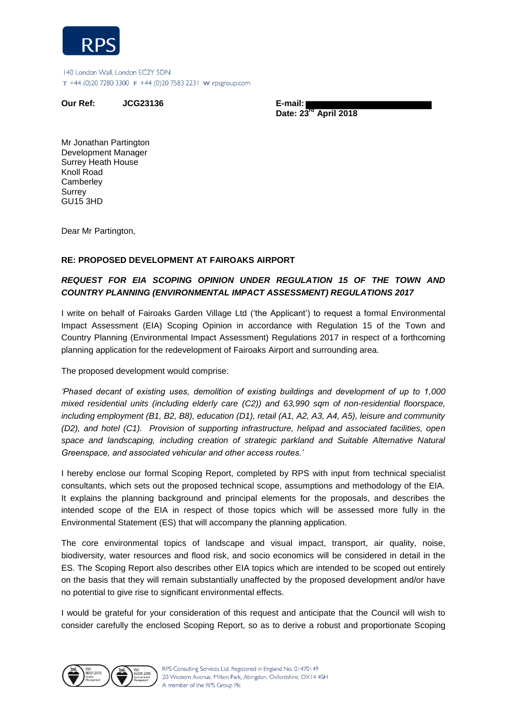

140 London Wall, London EC2Y 5DN T +44 (0)20 7280 3300 F +44 (0)20 7583 2231 W rpsgroup.com

**Our Ref: JCG23136 E-mail:** 

 **Date: 23rd April 2018** 

Mr Jonathan Partington Development Manager Surrey Heath House Knoll Road **Camberley Surrey** GU15 3HD

Dear Mr Partington,

## **RE: PROPOSED DEVELOPMENT AT FAIROAKS AIRPORT**

## *REQUEST FOR EIA SCOPING OPINION UNDER REGULATION 15 OF THE TOWN AND COUNTRY PLANNING (ENVIRONMENTAL IMPACT ASSESSMENT) REGULATIONS 2017*

I write on behalf of Fairoaks Garden Village Ltd ('the Applicant') to request a formal Environmental Impact Assessment (EIA) Scoping Opinion in accordance with Regulation 15 of the Town and Country Planning (Environmental Impact Assessment) Regulations 2017 in respect of a forthcoming planning application for the redevelopment of Fairoaks Airport and surrounding area.

The proposed development would comprise:

*'Phased decant of existing uses, demolition of existing buildings and development of up to 1,000 mixed residential units (including elderly care (C2)) and 63,990 sqm of non-residential floorspace, including employment (B1, B2, B8), education (D1), retail (A1, A2, A3, A4, A5), leisure and community (D2), and hotel (C1). Provision of supporting infrastructure, helipad and associated facilities, open*  space and landscaping, including creation of strategic parkland and Suitable Alternative Natural *Greenspace, and associated vehicular and other access routes.'*

I hereby enclose our formal Scoping Report, completed by RPS with input from technical specialist consultants, which sets out the proposed technical scope, assumptions and methodology of the EIA. It explains the planning background and principal elements for the proposals, and describes the intended scope of the EIA in respect of those topics which will be assessed more fully in the Environmental Statement (ES) that will accompany the planning application.

The core environmental topics of landscape and visual impact, transport, air quality, noise, biodiversity, water resources and flood risk, and socio economics will be considered in detail in the ES. The Scoping Report also describes other EIA topics which are intended to be scoped out entirely on the basis that they will remain substantially unaffected by the proposed development and/or have no potential to give rise to significant environmental effects.

I would be grateful for your consideration of this request and anticipate that the Council will wish to consider carefully the enclosed Scoping Report, so as to derive a robust and proportionate Scoping